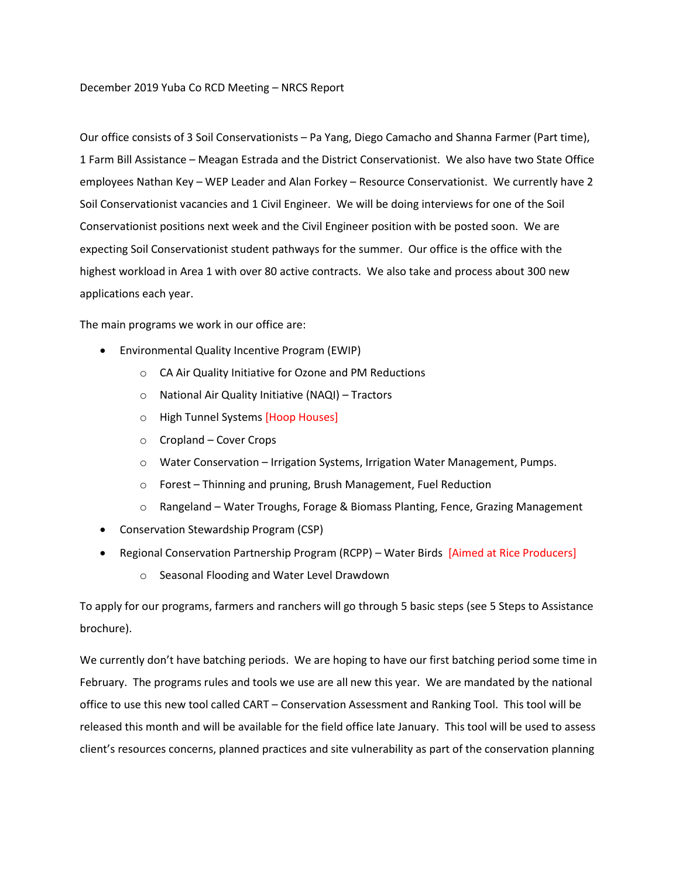Our office consists of 3 Soil Conservationists – Pa Yang, Diego Camacho and Shanna Farmer (Part time), 1 Farm Bill Assistance – Meagan Estrada and the District Conservationist. We also have two State Office employees Nathan Key – WEP Leader and Alan Forkey – Resource Conservationist. We currently have 2 Soil Conservationist vacancies and 1 Civil Engineer. We will be doing interviews for one of the Soil Conservationist positions next week and the Civil Engineer position with be posted soon. We are expecting Soil Conservationist student pathways for the summer. Our office is the office with the highest workload in Area 1 with over 80 active contracts. We also take and process about 300 new applications each year.

The main programs we work in our office are:

- Environmental Quality Incentive Program (EWIP)
	- o CA Air Quality Initiative for Ozone and PM Reductions
	- o National Air Quality Initiative (NAQI) Tractors
	- o High Tunnel Systems [Hoop Houses]
	- o Cropland Cover Crops
	- o Water Conservation Irrigation Systems, Irrigation Water Management, Pumps.
	- o Forest Thinning and pruning, Brush Management, Fuel Reduction
	- $\circ$  Rangeland Water Troughs, Forage & Biomass Planting, Fence, Grazing Management
- Conservation Stewardship Program (CSP)
- Regional Conservation Partnership Program (RCPP) Water Birds [Aimed at Rice Producers]
	- o Seasonal Flooding and Water Level Drawdown

To apply for our programs, farmers and ranchers will go through 5 basic steps (see 5 Steps to Assistance brochure).

We currently don't have batching periods. We are hoping to have our first batching period some time in February. The programs rules and tools we use are all new this year. We are mandated by the national office to use this new tool called CART – Conservation Assessment and Ranking Tool. This tool will be released this month and will be available for the field office late January. This tool will be used to assess client's resources concerns, planned practices and site vulnerability as part of the conservation planning